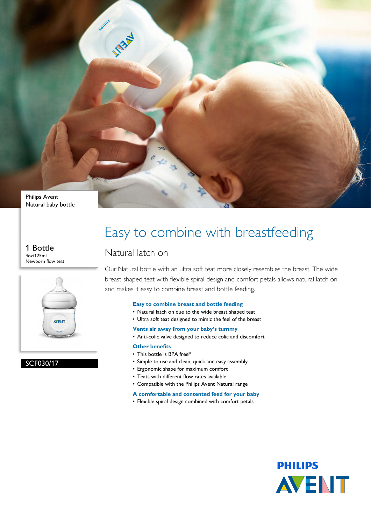

1 Bottle 4oz/125ml Newborn flow teat



SCF030/17

### Easy to combine with breastfeeding

### Natural latch on

Our Natural bottle with an ultra soft teat more closely resembles the breast. The wide breast-shaped teat with flexible spiral design and comfort petals allows natural latch on and makes it easy to combine breast and bottle feeding.

#### **Easy to combine breast and bottle feeding**

- Natural latch on due to the wide breast shaped teat
- Ultra soft teat designed to mimic the feel of the breast

**Vents air away from your baby's tummy**

• Anti-colic valve designed to reduce colic and discomfort

#### **Other benefits**

- This bottle is BPA free\*
- Simple to use and clean, quick and easy assembly
- Ergonomic shape for maximum comfort
- Teats with different flow rates available
- Compatible with the Philips Avent Natural range
- **A comfortable and contented feed for your baby**
- Flexible spiral design combined with comfort petals

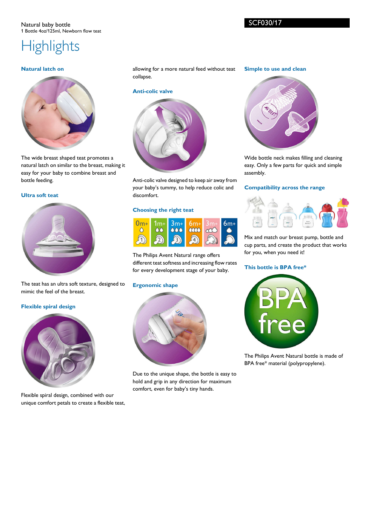# **Highlights**

#### **Natural latch on**



The wide breast shaped teat promotes a natural latch on similar to the breast, making it easy for your baby to combine breast and bottle feeding.

#### **Ultra soft teat**



The teat has an ultra soft texture, designed to mimic the feel of the breast.

#### **Flexible spiral design**



Flexible spiral design, combined with our unique comfort petals to create a flexible teat, allowing for a more natural feed without teat collapse.

#### **Anti-colic valve**



Anti-colic valve designed to keep air away from your baby's tummy, to help reduce colic and discomfort.

#### **Choosing the right teat**



The Philips Avent Natural range offers different teat softness and increasing flow rates for every development stage of your baby.

#### **Ergonomic shape**



Due to the unique shape, the bottle is easy to hold and grip in any direction for maximum comfort, even for baby's tiny hands.

#### **Simple to use and clean**



Wide bottle neck makes filling and cleaning easy. Only a few parts for quick and simple assembly.

#### **Compatibility across the range**



Mix and match our breast pump, bottle and cup parts, and create the product that works for you, when you need it!

#### **This bottle is BPA free\***



The Philips Avent Natural bottle is made of BPA free\* material (polypropylene).

SCF030/17